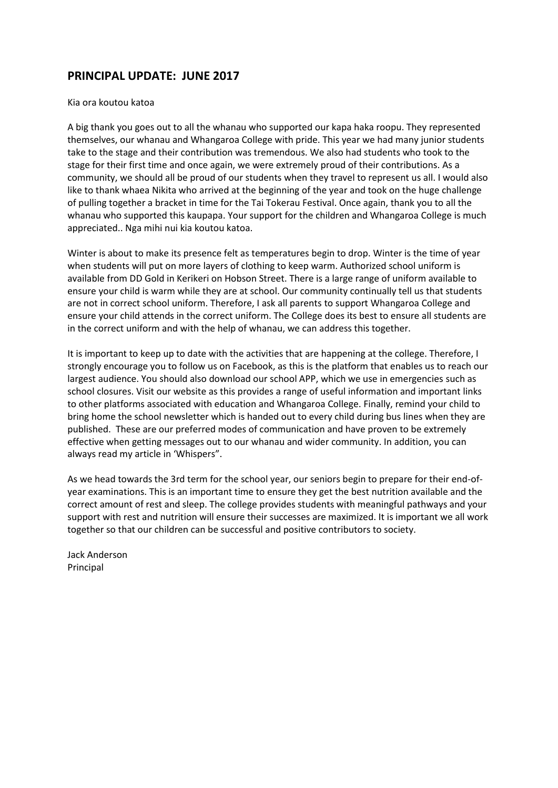## **PRINCIPAL UPDATE: JUNE 2017**

## Kia ora koutou katoa

A big thank you goes out to all the whanau who supported our kapa haka roopu. They represented themselves, our whanau and Whangaroa College with pride. This year we had many junior students take to the stage and their contribution was tremendous. We also had students who took to the stage for their first time and once again, we were extremely proud of their contributions. As a community, we should all be proud of our students when they travel to represent us all. I would also like to thank whaea Nikita who arrived at the beginning of the year and took on the huge challenge of pulling together a bracket in time for the Tai Tokerau Festival. Once again, thank you to all the whanau who supported this kaupapa. Your support for the children and Whangaroa College is much appreciated.. Nga mihi nui kia koutou katoa.

Winter is about to make its presence felt as temperatures begin to drop. Winter is the time of year when students will put on more layers of clothing to keep warm. Authorized school uniform is available from DD Gold in Kerikeri on Hobson Street. There is a large range of uniform available to ensure your child is warm while they are at school. Our community continually tell us that students are not in correct school uniform. Therefore, I ask all parents to support Whangaroa College and ensure your child attends in the correct uniform. The College does its best to ensure all students are in the correct uniform and with the help of whanau, we can address this together.

It is important to keep up to date with the activities that are happening at the college. Therefore, I strongly encourage you to follow us on Facebook, as this is the platform that enables us to reach our largest audience. You should also download our school APP, which we use in emergencies such as school closures. Visit our website as this provides a range of useful information and important links to other platforms associated with education and Whangaroa College. Finally, remind your child to bring home the school newsletter which is handed out to every child during bus lines when they are published. These are our preferred modes of communication and have proven to be extremely effective when getting messages out to our whanau and wider community. In addition, you can always read my article in 'Whispers".

As we head towards the 3rd term for the school year, our seniors begin to prepare for their end-ofyear examinations. This is an important time to ensure they get the best nutrition available and the correct amount of rest and sleep. The college provides students with meaningful pathways and your support with rest and nutrition will ensure their successes are maximized. It is important we all work together so that our children can be successful and positive contributors to society.

Jack Anderson Principal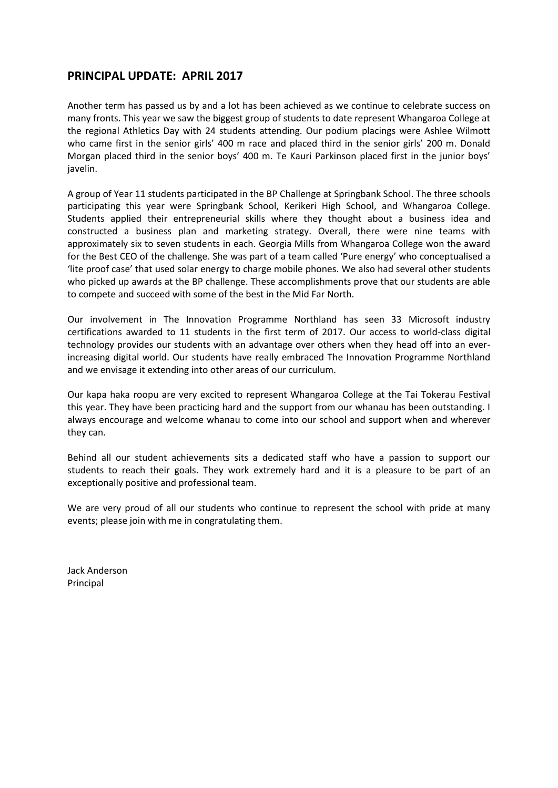## **PRINCIPAL UPDATE: APRIL 2017**

Another term has passed us by and a lot has been achieved as we continue to celebrate success on many fronts. This year we saw the biggest group of students to date represent Whangaroa College at the regional Athletics Day with 24 students attending. Our podium placings were Ashlee Wilmott who came first in the senior girls' 400 m race and placed third in the senior girls' 200 m. Donald Morgan placed third in the senior boys' 400 m. Te Kauri Parkinson placed first in the junior boys' javelin.

A group of Year 11 students participated in the BP Challenge at Springbank School. The three schools participating this year were Springbank School, Kerikeri High School, and Whangaroa College. Students applied their entrepreneurial skills where they thought about a business idea and constructed a business plan and marketing strategy. Overall, there were nine teams with approximately six to seven students in each. Georgia Mills from Whangaroa College won the award for the Best CEO of the challenge. She was part of a team called 'Pure energy' who conceptualised a 'lite proof case' that used solar energy to charge mobile phones. We also had several other students who picked up awards at the BP challenge. These accomplishments prove that our students are able to compete and succeed with some of the best in the Mid Far North.

Our involvement in The Innovation Programme Northland has seen 33 Microsoft industry certifications awarded to 11 students in the first term of 2017. Our access to world-class digital technology provides our students with an advantage over others when they head off into an everincreasing digital world. Our students have really embraced The Innovation Programme Northland and we envisage it extending into other areas of our curriculum.

Our kapa haka roopu are very excited to represent Whangaroa College at the Tai Tokerau Festival this year. They have been practicing hard and the support from our whanau has been outstanding. I always encourage and welcome whanau to come into our school and support when and wherever they can.

Behind all our student achievements sits a dedicated staff who have a passion to support our students to reach their goals. They work extremely hard and it is a pleasure to be part of an exceptionally positive and professional team.

We are very proud of all our students who continue to represent the school with pride at many events; please join with me in congratulating them.

Jack Anderson Principal